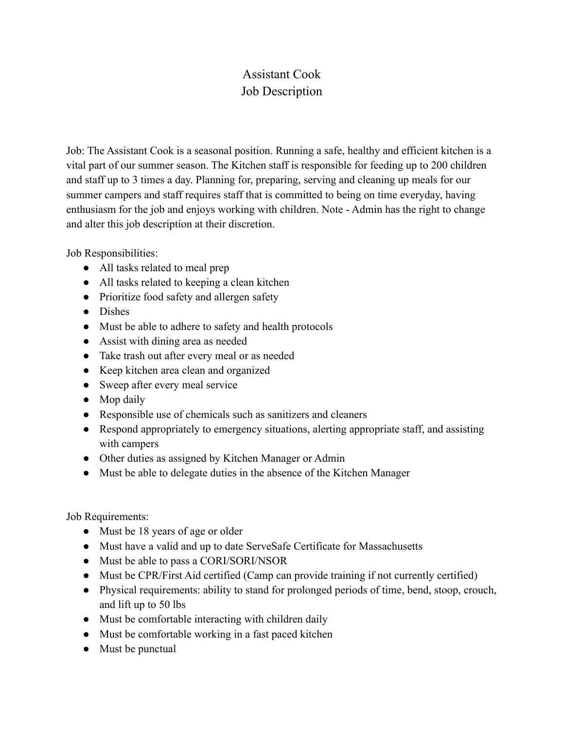## Assistant Cook Job Description

Job: The Assistant Cook is a seasonal position. Running a safe, healthy and efficient kitchen is a vital part of our summer season. The Kitchen staff is responsible for feeding up to 200 children and staff up to 3 times a day. Planning for, preparing, serving and cleaning up meals for our summer campers and staff requires staff that is committed to being on time everyday, having enthusiasm for the job and enjoys working with children. Note - Admin has the right to change and alter this job description at their discretion.

Job Responsibilities:

- All tasks related to meal prep
- All tasks related to keeping a clean kitchen
- Prioritize food safety and allergen safety
- Dishes
- Must be able to adhere to safety and health protocols
- Assist with dining area as needed
- Take trash out after every meal or as needed
- Keep kitchen area clean and organized
- Sweep after every meal service
- Mop daily
- Responsible use of chemicals such as sanitizers and cleaners
- Respond appropriately to emergency situations, alerting appropriate staff, and assisting with campers
- Other duties as assigned by Kitchen Manager or Admin
- Must be able to delegate duties in the absence of the Kitchen Manager

Job Requirements:

- Must be 18 years of age or older
- Must have a valid and up to date ServeSafe Certificate for Massachusetts
- Must be able to pass a CORI/SORI/NSOR
- Must be CPR/First Aid certified (Camp can provide training if not currently certified)
- Physical requirements: ability to stand for prolonged periods of time, bend, stoop, crouch, and lift up to 50 lbs
- Must be comfortable interacting with children daily
- Must be comfortable working in a fast paced kitchen
- Must be punctual